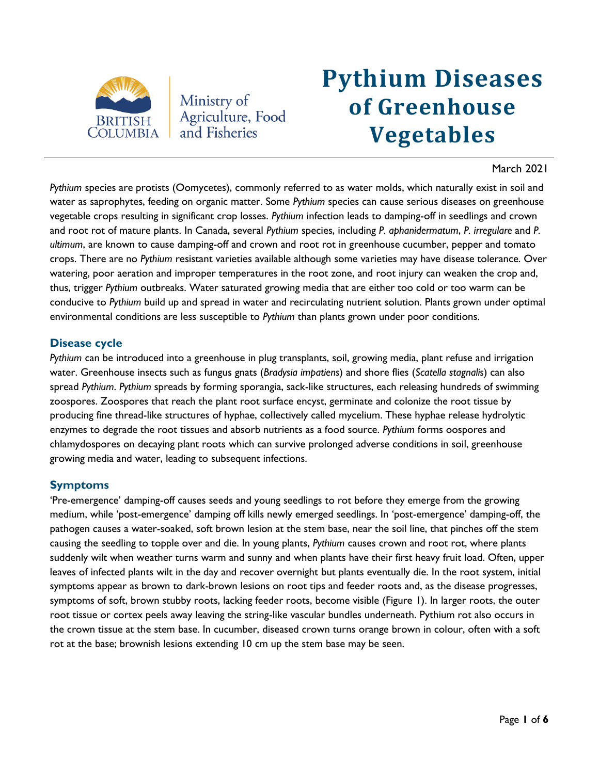

Ministry of Agriculture, Food and Fisheries

# **Pythium Diseases of Greenhouse Vegetables**

## March 2021

*Pythium* species are protists (Oomycetes), commonly referred to as water molds, which naturally exist in soil and water as saprophytes, feeding on organic matter. Some *Pythium* species can cause serious diseases on greenhouse vegetable crops resulting in significant crop losses. *Pythium* infection leads to damping-off in seedlings and crown and root rot of mature plants. In Canada, several *Pythium* species, including *P. aphanidermatum*, *P. irregulare* and *P. ultimum*, are known to cause damping-off and crown and root rot in greenhouse cucumber, pepper and tomato crops. There are no *Pythium* resistant varieties available although some varieties may have disease tolerance. Over watering, poor aeration and improper temperatures in the root zone, and root injury can weaken the crop and, thus, trigger *Pythium* outbreaks. Water saturated growing media that are either too cold or too warm can be conducive to *Pythium* build up and spread in water and recirculating nutrient solution. Plants grown under optimal environmental conditions are less susceptible to *Pythium* than plants grown under poor conditions.

### **Disease cycle**

*Pythium* can be introduced into a greenhouse in plug transplants, soil, growing media, plant refuse and irrigation water. Greenhouse insects such as fungus gnats (*Bradysia impatiens*) and shore flies (*Scatella stagnalis*) can also spread *Pythium*. *Pythium* spreads by forming sporangia, sack-like structures, each releasing hundreds of swimming zoospores. Zoospores that reach the plant root surface encyst, germinate and colonize the root tissue by producing fine thread-like structures of hyphae, collectively called mycelium. These hyphae release hydrolytic enzymes to degrade the root tissues and absorb nutrients as a food source. *Pythium* forms oospores and chlamydospores on decaying plant roots which can survive prolonged adverse conditions in soil, greenhouse growing media and water, leading to subsequent infections.

## **Symptoms**

'Pre-emergence' damping-off causes seeds and young seedlings to rot before they emerge from the growing medium, while 'post-emergence' damping off kills newly emerged seedlings. In 'post-emergence' damping-off, the pathogen causes a water-soaked, soft brown lesion at the stem base, near the soil line, that pinches off the stem causing the seedling to topple over and die. In young plants, *Pythium* causes crown and root rot, where plants suddenly wilt when weather turns warm and sunny and when plants have their first heavy fruit load. Often, upper leaves of infected plants wilt in the day and recover overnight but plants eventually die. In the root system, initial symptoms appear as brown to dark-brown lesions on root tips and feeder roots and, as the disease progresses, symptoms of soft, brown stubby roots, lacking feeder roots, become visible (Figure 1). In larger roots, the outer root tissue or cortex peels away leaving the string-like vascular bundles underneath. Pythium rot also occurs in the crown tissue at the stem base. In cucumber, diseased crown turns orange brown in colour, often with a soft rot at the base; brownish lesions extending 10 cm up the stem base may be seen.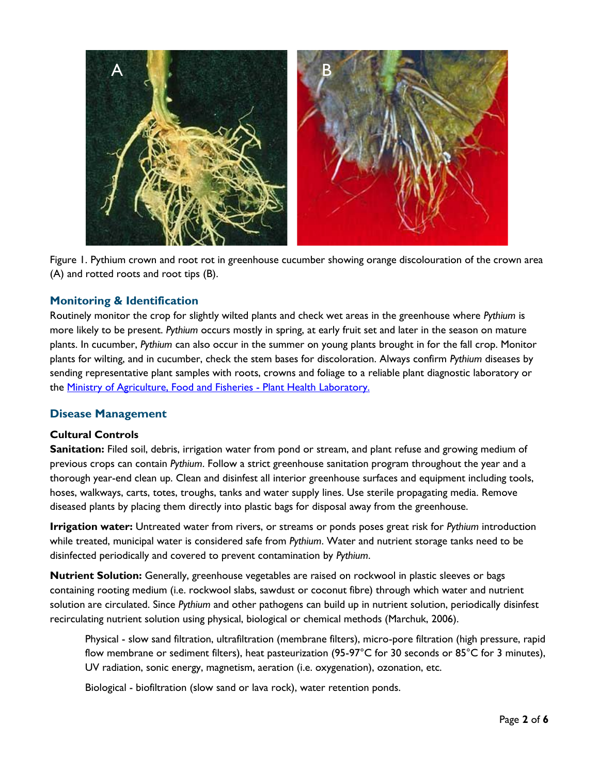

Figure 1. Pythium crown and root rot in greenhouse cucumber showing orange discolouration of the crown area (A) and rotted roots and root tips (B).

# **Monitoring & Identification**

Routinely monitor the crop for slightly wilted plants and check wet areas in the greenhouse where *Pythium* is more likely to be present. *Pythium* occurs mostly in spring, at early fruit set and later in the season on mature plants. In cucumber, *Pythium* can also occur in the summer on young plants brought in for the fall crop. Monitor plants for wilting, and in cucumber, check the stem bases for discoloration. Always confirm *Pythium* diseases by sending representative plant samples with roots, crowns and foliage to a reliable plant diagnostic laboratory or the **Ministry of Agriculture, Food and Fisheries - Plant Health Laboratory.** 

## **Disease Management**

## **Cultural Controls**

**Sanitation:** Filed soil, debris, irrigation water from pond or stream, and plant refuse and growing medium of previous crops can contain *Pythium*. Follow a strict greenhouse sanitation program throughout the year and a thorough year-end clean up. Clean and disinfest all interior greenhouse surfaces and equipment including tools, hoses, walkways, carts, totes, troughs, tanks and water supply lines. Use sterile propagating media. Remove diseased plants by placing them directly into plastic bags for disposal away from the greenhouse.

**Irrigation water:** Untreated water from rivers, or streams or ponds poses great risk for *Pythium* introduction while treated, municipal water is considered safe from *Pythium*. Water and nutrient storage tanks need to be disinfected periodically and covered to prevent contamination by *Pythium*.

**Nutrient Solution:** Generally, greenhouse vegetables are raised on rockwool in plastic sleeves or bags containing rooting medium (i.e. rockwool slabs, sawdust or coconut fibre) through which water and nutrient solution are circulated. Since *Pythium* and other pathogens can build up in nutrient solution, periodically disinfest recirculating nutrient solution using physical, biological or chemical methods (Marchuk, 2006).

Physical - slow sand filtration, ultrafiltration (membrane filters), micro-pore filtration (high pressure, rapid flow membrane or sediment filters), heat pasteurization (95-97°C for 30 seconds or 85°C for 3 minutes), UV radiation, sonic energy, magnetism, aeration (i.e. oxygenation), ozonation, etc.

Biological - biofiltration (slow sand or lava rock), water retention ponds.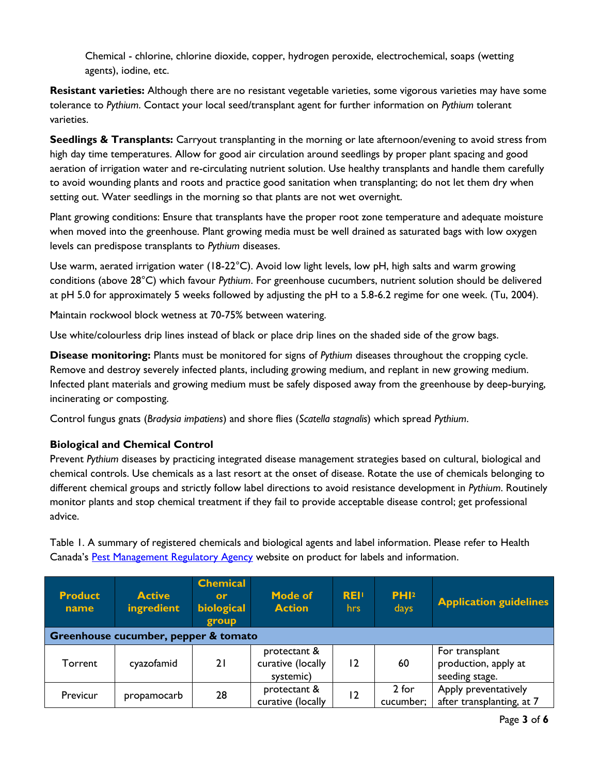Chemical - chlorine, chlorine dioxide, copper, hydrogen peroxide, electrochemical, soaps (wetting agents), iodine, etc.

**Resistant varieties:** Although there are no resistant vegetable varieties, some vigorous varieties may have some tolerance to *Pythium*. Contact your local seed/transplant agent for further information on *Pythium* tolerant varieties.

**Seedlings & Transplants:** Carryout transplanting in the morning or late afternoon/evening to avoid stress from high day time temperatures. Allow for good air circulation around seedlings by proper plant spacing and good aeration of irrigation water and re-circulating nutrient solution. Use healthy transplants and handle them carefully to avoid wounding plants and roots and practice good sanitation when transplanting; do not let them dry when setting out. Water seedlings in the morning so that plants are not wet overnight.

Plant growing conditions: Ensure that transplants have the proper root zone temperature and adequate moisture when moved into the greenhouse. Plant growing media must be well drained as saturated bags with low oxygen levels can predispose transplants to *Pythium* diseases.

Use warm, aerated irrigation water (18-22°C). Avoid low light levels, low pH, high salts and warm growing conditions (above 28°C) which favour *Pythium*. For greenhouse cucumbers, nutrient solution should be delivered at pH 5.0 for approximately 5 weeks followed by adjusting the pH to a 5.8-6.2 regime for one week. (Tu, 2004).

Maintain rockwool block wetness at 70-75% between watering.

Use white/colourless drip lines instead of black or place drip lines on the shaded side of the grow bags.

**Disease monitoring:** Plants must be monitored for signs of *Pythium* diseases throughout the cropping cycle. Remove and destroy severely infected plants, including growing medium, and replant in new growing medium. Infected plant materials and growing medium must be safely disposed away from the greenhouse by deep-burying, incinerating or composting.

Control fungus gnats (*Bradysia impatiens*) and shore flies (*Scatella stagnalis*) which spread *Pythium*.

## **Biological and Chemical Control**

Prevent *Pythium* diseases by practicing integrated disease management strategies based on cultural, biological and chemical controls. Use chemicals as a last resort at the onset of disease. Rotate the use of chemicals belonging to different chemical groups and strictly follow label directions to avoid resistance development in *Pythium*. Routinely monitor plants and stop chemical treatment if they fail to provide acceptable disease control; get professional advice.

Table 1. A summary of registered chemicals and biological agents and label information. Please refer to Health Canada's [Pest Management Regulatory Agency](http://pr-rp.hc-sc.gc.ca/ls-re/index-eng.php) website on product for labels and information.

| <b>Product</b><br>name               | <b>Active</b><br>ingredient | <b>Chemical</b><br>or<br>biological<br>group | <b>Mode of</b><br><b>Action</b>                | <b>REI!</b><br>hrs. | PHI <sup>2</sup><br>days | <b>Application guidelines</b>                            |  |
|--------------------------------------|-----------------------------|----------------------------------------------|------------------------------------------------|---------------------|--------------------------|----------------------------------------------------------|--|
| Greenhouse cucumber, pepper & tomato |                             |                                              |                                                |                     |                          |                                                          |  |
| Torrent                              | cyazofamid                  | 21                                           | protectant &<br>curative (locally<br>systemic) | 12                  | 60                       | For transplant<br>production, apply at<br>seeding stage. |  |
| Previcur                             | propamocarb                 | 28                                           | protectant &<br>curative (locally              | $\overline{2}$      | 2 for<br>cucumber;       | Apply preventatively<br>after transplanting, at 7        |  |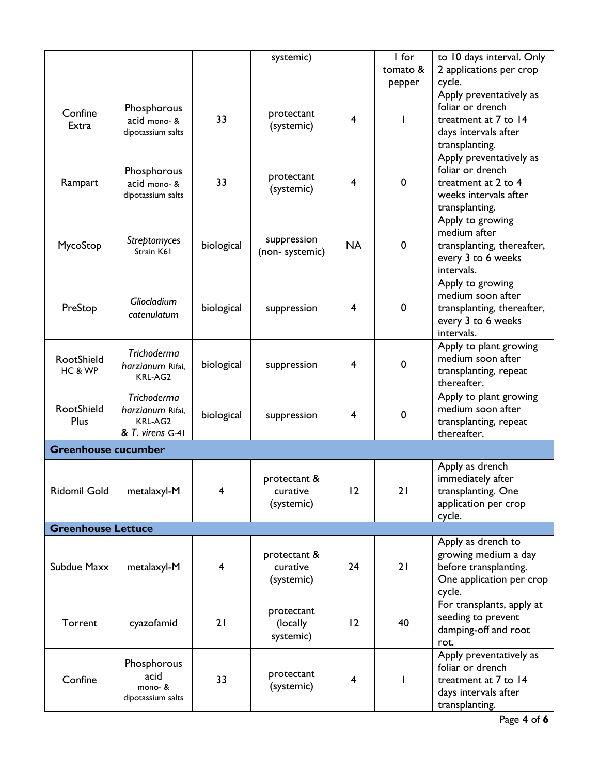|                            |                                                                       |            | systemic)                              |                         | I for       | to 10 days interval. Only                                                                                     |
|----------------------------|-----------------------------------------------------------------------|------------|----------------------------------------|-------------------------|-------------|---------------------------------------------------------------------------------------------------------------|
|                            |                                                                       |            |                                        |                         | tomato &    | 2 applications per crop                                                                                       |
|                            |                                                                       |            |                                        |                         | pepper      | cycle.                                                                                                        |
| Confine<br>Extra           | Phosphorous<br>acid mono- &<br>dipotassium salts                      | 33         | protectant<br>(systemic)               | 4                       |             | Apply preventatively as<br>foliar or drench<br>treatment at 7 to 14<br>days intervals after<br>transplanting. |
| Rampart                    | Phosphorous<br>acid mono- &<br>dipotassium salts                      | 33         | protectant<br>(systemic)               | $\overline{4}$          | 0           | Apply preventatively as<br>foliar or drench<br>treatment at 2 to 4<br>weeks intervals after<br>transplanting. |
| MycoStop                   | Streptomyces<br>Strain K61                                            | biological | suppression<br>(non-systemic)          | <b>NA</b>               | $\mathbf 0$ | Apply to growing<br>medium after<br>transplanting, thereafter,<br>every 3 to 6 weeks<br>intervals.            |
| PreStop                    | Gliocladium<br>catenulatum                                            | biological | suppression                            | 4                       | $\mathbf 0$ | Apply to growing<br>medium soon after<br>transplanting, thereafter,<br>every 3 to 6 weeks<br>intervals.       |
| RootShield<br>HC & WP      | Trichoderma<br>harzianum Rifai,<br>KRL-AG2                            | biological | suppression                            | 4                       | $\mathbf 0$ | Apply to plant growing<br>medium soon after<br>transplanting, repeat<br>thereafter.                           |
| RootShield<br>Plus         | <b>Trichoderma</b><br>harzianum Rifai,<br>KRL-AG2<br>& T. virens G-41 | biological | suppression                            | 4                       | $\mathbf 0$ | Apply to plant growing<br>medium soon after<br>transplanting, repeat<br>thereafter.                           |
| <b>Greenhouse cucumber</b> |                                                                       |            |                                        |                         |             |                                                                                                               |
| <b>Ridomil Gold</b>        | metalaxyl-M                                                           | 4          | protectant &<br>curative<br>(systemic) | 12                      | 21          | Apply as drench<br>immediately after<br>transplanting. One<br>application per crop<br>cycle.                  |
| <b>Greenhouse Lettuce</b>  |                                                                       |            |                                        |                         |             |                                                                                                               |
| Subdue Maxx                | metalaxyl-M                                                           | 4          | protectant &<br>curative<br>(systemic) | 24                      | 21          | Apply as drench to<br>growing medium a day<br>before transplanting.<br>One application per crop<br>cycle.     |
| Torrent                    | cyazofamid                                                            | 21         | protectant<br>(locally<br>systemic)    | 12                      | 40          | For transplants, apply at<br>seeding to prevent<br>damping-off and root<br>rot.                               |
| Confine                    | Phosphorous<br>acid<br>mono- &<br>dipotassium salts                   | 33         | protectant<br>(systemic)               | $\overline{\mathbf{4}}$ |             | Apply preventatively as<br>foliar or drench<br>treatment at 7 to 14<br>days intervals after<br>transplanting. |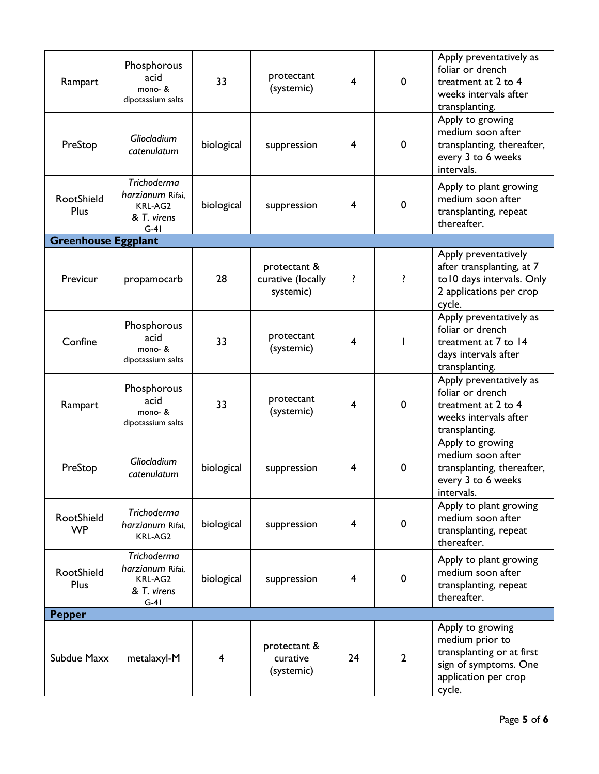| Rampart                    | Phosphorous<br>acid<br>mono- &<br>dipotassium salts                        | 33             | protectant<br>(systemic)                       | $\overline{4}$ | 0              | Apply preventatively as<br>foliar or drench<br>treatment at 2 to 4<br>weeks intervals after<br>transplanting.               |
|----------------------------|----------------------------------------------------------------------------|----------------|------------------------------------------------|----------------|----------------|-----------------------------------------------------------------------------------------------------------------------------|
| PreStop                    | Gliocladium<br>catenulatum                                                 | biological     | suppression                                    | $\overline{4}$ | 0              | Apply to growing<br>medium soon after<br>transplanting, thereafter,<br>every 3 to 6 weeks<br>intervals.                     |
| RootShield<br>Plus         | <b>Trichoderma</b><br>harzianum Rifai,<br>KRL-AG2<br>& T. virens<br>$G-41$ | biological     | suppression                                    | $\overline{4}$ | $\mathbf 0$    | Apply to plant growing<br>medium soon after<br>transplanting, repeat<br>thereafter.                                         |
| <b>Greenhouse Eggplant</b> |                                                                            |                |                                                |                |                |                                                                                                                             |
| Previcur                   | propamocarb                                                                | 28             | protectant &<br>curative (locally<br>systemic) | ŗ              | <sup>?</sup>   | Apply preventatively<br>after transplanting, at 7<br>to 10 days intervals. Only<br>2 applications per crop<br>cycle.        |
| Confine                    | Phosphorous<br>acid<br>mono- &<br>dipotassium salts                        | 33             | protectant<br>(systemic)                       | 4              | $\mathbf{I}$   | Apply preventatively as<br>foliar or drench<br>treatment at 7 to 14<br>days intervals after<br>transplanting.               |
| Rampart                    | Phosphorous<br>acid<br>mono- &<br>dipotassium salts                        | 33             | protectant<br>(systemic)                       | $\overline{4}$ | 0              | Apply preventatively as<br>foliar or drench<br>treatment at 2 to 4<br>weeks intervals after<br>transplanting.               |
| PreStop                    | Gliocladium<br>catenulatum                                                 | biological     | suppression                                    | $\overline{4}$ | 0              | Apply to growing<br>medium soon after<br>transplanting, thereafter,<br>every 3 to 6 weeks<br>intervals.                     |
| RootShield<br><b>WP</b>    | <b>Trichoderma</b><br>harzianum Rifai,<br>KRL-AG2                          | biological     | suppression                                    | 4              | 0              | Apply to plant growing<br>medium soon after<br>transplanting, repeat<br>thereafter.                                         |
| RootShield<br>Plus         | <b>Trichoderma</b><br>harzianum Rifai,<br>KRL-AG2<br>& T. virens<br>$G-4I$ | biological     | suppression                                    | 4              | $\mathbf 0$    | Apply to plant growing<br>medium soon after<br>transplanting, repeat<br>thereafter.                                         |
| <b>Pepper</b>              |                                                                            |                |                                                |                |                |                                                                                                                             |
| Subdue Maxx                | metalaxyl-M                                                                | $\overline{4}$ | protectant &<br>curative<br>(systemic)         | 24             | $\overline{2}$ | Apply to growing<br>medium prior to<br>transplanting or at first<br>sign of symptoms. One<br>application per crop<br>cycle. |